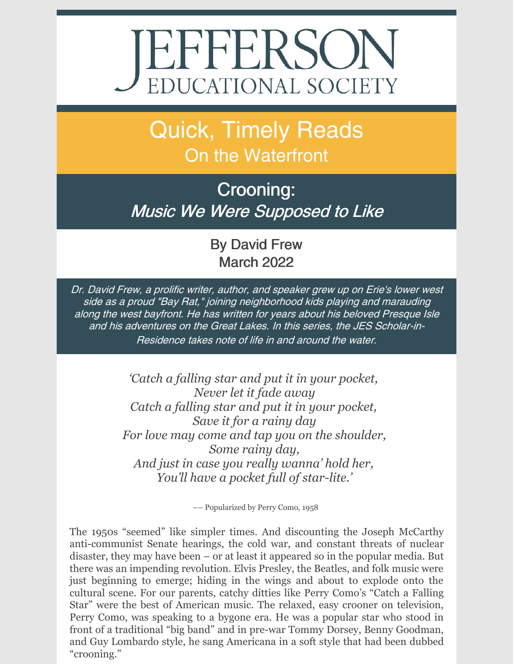# EFFERSON

Quick, Timely Reads On the Waterfront

Crooning: Music We Were Supposed to Like

> By David Frew March 2022

Dr. David Frew, <sup>a</sup> prolific writer, author, and speaker grew up on Erie's lower west side as <sup>a</sup> proud "Bay Rat," joining neighborhood kids playing and marauding along the west bayfront. He has written for years about his beloved Presque Isle and his adventures on the Great Lakes. In this series, the JES Scholar-in-Residence takes note of life in and around the water.

> *'Catch a falling star and put it in your pocket, Never let it fade away Catch a falling star and put it in your pocket, Save it for a rainy day For love may come and tap you on the shoulder, Some rainy day, And just in case you really wanna' hold her, You'll have a pocket full of star-lite.'*

> > –– Popularized by Perry Como, 1958

The 1950s "seemed" like simpler times. And discounting the Joseph McCarthy anti-communist Senate hearings, the cold war, and constant threats of nuclear disaster, they may have been – or at least it appeared so in the popular media. But there was an impending revolution. Elvis Presley, the Beatles, and folk music were just beginning to emerge; hiding in the wings and about to explode onto the cultural scene. For our parents, catchy ditties like Perry Como's "Catch a Falling Star" were the best of American music. The relaxed, easy crooner on television, Perry Como, was speaking to a bygone era. He was a popular star who stood in front of a traditional "big band" and in pre-war Tommy Dorsey, Benny Goodman, and Guy Lombardo style, he sang Americana in a soft style that had been dubbed "crooning."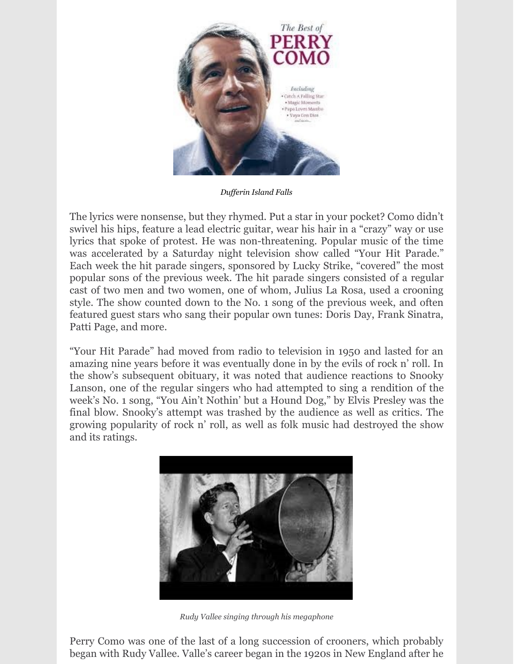

*Duf erin Island Falls*

The lyrics were nonsense, but they rhymed. Put a star in your pocket? Como didn't swivel his hips, feature a lead electric guitar, wear his hair in a "crazy" way or use lyrics that spoke of protest. He was non-threatening. Popular music of the time was accelerated by a Saturday night television show called "Your Hit Parade." Each week the hit parade singers, sponsored by Lucky Strike, "covered" the most popular sons of the previous week. The hit parade singers consisted of a regular cast of two men and two women, one of whom, Julius La Rosa, used a crooning style. The show counted down to the No. 1 song of the previous week, and often featured guest stars who sang their popular own tunes: Doris Day, Frank Sinatra, Patti Page, and more.

"Your Hit Parade" had moved from radio to television in 1950 and lasted for an amazing nine years before it was eventually done in by the evils of rock n' roll. In the show's subsequent obituary, it was noted that audience reactions to Snooky Lanson, one of the regular singers who had attempted to sing a rendition of the week's No. 1 song, "You Ain't Nothin' but a Hound Dog," by Elvis Presley was the final blow. Snooky's attempt was trashed by the audience as well as critics. The growing popularity of rock n' roll, as well as folk music had destroyed the show and its ratings.



*Rudy Vallee singing through his megaphone*

Perry Como was one of the last of a long succession of crooners, which probably began with Rudy Vallee. Valle's career began in the 1920s in New England after he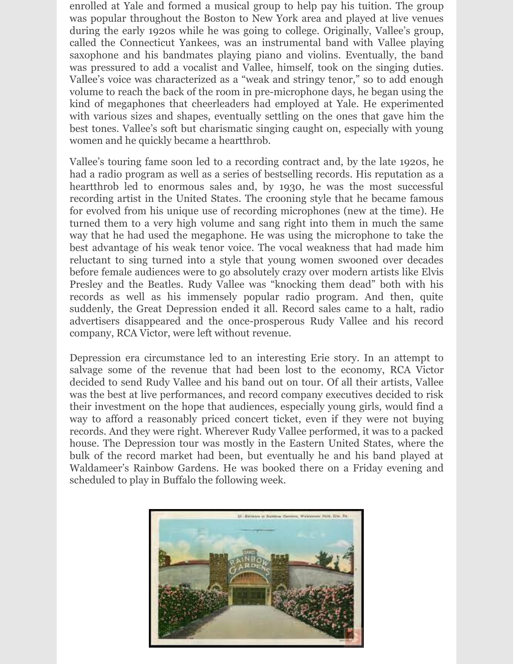enrolled at Yale and formed a musical group to help pay his tuition. The group was popular throughout the Boston to New York area and played at live venues during the early 1920s while he was going to college. Originally, Vallee's group, called the Connecticut Yankees, was an instrumental band with Vallee playing saxophone and his bandmates playing piano and violins. Eventually, the band was pressured to add a vocalist and Vallee, himself, took on the singing duties. Vallee's voice was characterized as a "weak and stringy tenor," so to add enough volume to reach the back of the room in pre-microphone days, he began using the kind of megaphones that cheerleaders had employed at Yale. He experimented with various sizes and shapes, eventually settling on the ones that gave him the best tones. Vallee's soft but charismatic singing caught on, especially with young women and he quickly became a heartthrob.

Vallee's touring fame soon led to a recording contract and, by the late 1920s, he had a radio program as well as a series of bestselling records. His reputation as a heartthrob led to enormous sales and, by 1930, he was the most successful recording artist in the United States. The crooning style that he became famous for evolved from his unique use of recording microphones (new at the time). He turned them to a very high volume and sang right into them in much the same way that he had used the megaphone. He was using the microphone to take the best advantage of his weak tenor voice. The vocal weakness that had made him reluctant to sing turned into a style that young women swooned over decades before female audiences were to go absolutely crazy over modern artists like Elvis Presley and the Beatles. Rudy Vallee was "knocking them dead" both with his records as well as his immensely popular radio program. And then, quite suddenly, the Great Depression ended it all. Record sales came to a halt, radio advertisers disappeared and the once-prosperous Rudy Vallee and his record company, RCA Victor, were left without revenue.

Depression era circumstance led to an interesting Erie story. In an attempt to salvage some of the revenue that had been lost to the economy, RCA Victor decided to send Rudy Vallee and his band out on tour. Of all their artists, Vallee was the best at live performances, and record company executives decided to risk their investment on the hope that audiences, especially young girls, would find a way to afford a reasonably priced concert ticket, even if they were not buying records. And they were right. Wherever Rudy Vallee performed, it was to a packed house. The Depression tour was mostly in the Eastern United States, where the bulk of the record market had been, but eventually he and his band played at Waldameer's Rainbow Gardens. He was booked there on a Friday evening and scheduled to play in Buffalo the following week.

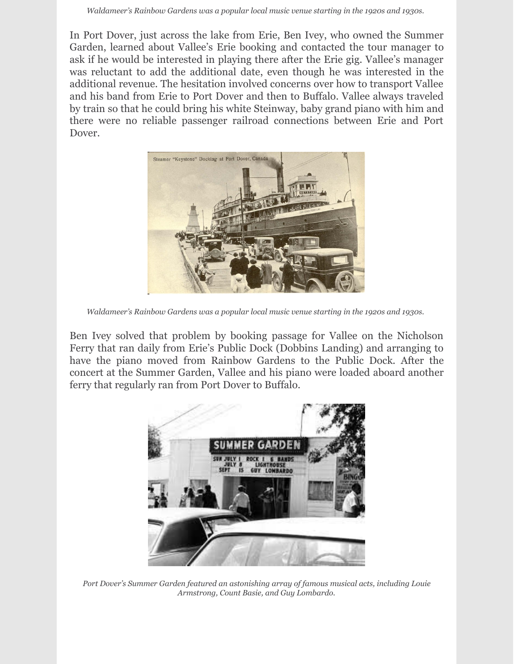#### *Waldameer's Rainbow Gardens was a popular local music venue starting in the 1920s and 1930s.*

In Port Dover, just across the lake from Erie, Ben Ivey, who owned the Summer Garden, learned about Vallee's Erie booking and contacted the tour manager to ask if he would be interested in playing there after the Erie gig. Vallee's manager was reluctant to add the additional date, even though he was interested in the additional revenue. The hesitation involved concerns over how to transport Vallee and his band from Erie to Port Dover and then to Buffalo. Vallee always traveled by train so that he could bring his white Steinway, baby grand piano with him and there were no reliable passenger railroad connections between Erie and Port Dover.



*Waldameer's Rainbow Gardens was a popular local music venue starting in the 1920s and 1930s.*

Ben Ivey solved that problem by booking passage for Vallee on the Nicholson Ferry that ran daily from Erie's Public Dock (Dobbins Landing) and arranging to have the piano moved from Rainbow Gardens to the Public Dock. After the concert at the Summer Garden, Vallee and his piano were loaded aboard another ferry that regularly ran from Port Dover to Buffalo.



*Port Dover's Summer Garden featured an astonishing array of famous musical acts, including Louie Armstrong, Count Basie, and Guy Lombardo.*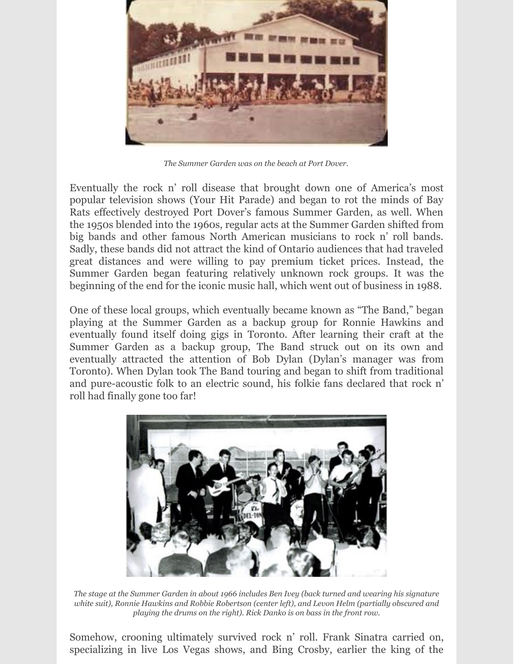

*The Summer Garden was on the beach at Port Dover.*

Eventually the rock n' roll disease that brought down one of America's most popular television shows (Your Hit Parade) and began to rot the minds of Bay Rats effectively destroyed Port Dover's famous Summer Garden, as well. When the 1950s blended into the 1960s, regular acts at the Summer Garden shifted from big bands and other famous North American musicians to rock n' roll bands. Sadly, these bands did not attract the kind of Ontario audiences that had traveled great distances and were willing to pay premium ticket prices. Instead, the Summer Garden began featuring relatively unknown rock groups. It was the beginning of the end for the iconic music hall, which went out of business in 1988.

One of these local groups, which eventually became known as "The Band," began playing at the Summer Garden as a backup group for Ronnie Hawkins and eventually found itself doing gigs in Toronto. After learning their craft at the Summer Garden as a backup group, The Band struck out on its own and eventually attracted the attention of Bob Dylan (Dylan's manager was from Toronto). When Dylan took The Band touring and began to shift from traditional and pure-acoustic folk to an electric sound, his folkie fans declared that rock n' roll had finally gone too far!



The stage at the Summer Garden in about 1966 includes Ben Ivey (back turned and wearing his signature *white suit), Ronnie Hawkins and Robbie Robertson (center left), and Levon Helm (partially obscured and playing the drums on the right). Rick Danko is on bass in the front row.*

Somehow, crooning ultimately survived rock n' roll. Frank Sinatra carried on, specializing in live Los Vegas shows, and Bing Crosby, earlier the king of the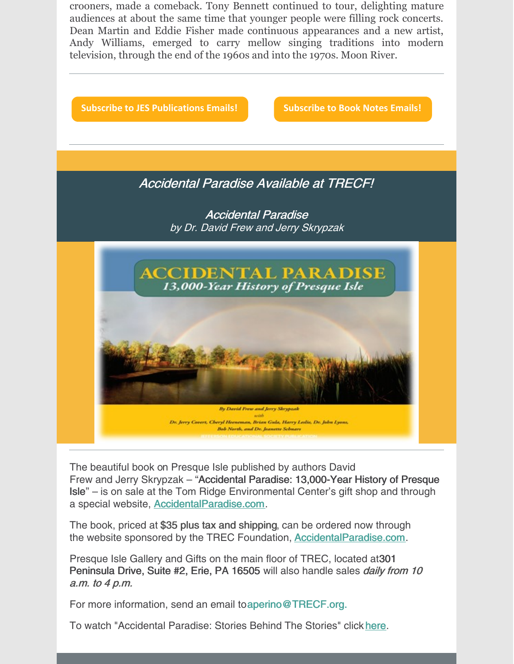crooners, made a comeback. Tony Bennett continued to tour, delighting mature audiences at about the same time that younger people were filling rock concerts. Dean Martin and Eddie Fisher made continuous appearances and a new artist, Andy Williams, emerged to carry mellow singing traditions into modern television, through the end of the 1960s and into the 1970s. Moon River.

**Subscribe to JES [Publications](https://lp.constantcontactpages.com/su/OYSOPRt/PublicationsSubscription?source_id=7c3efc4f-9133-48fa-a910-04b151a23e25&source_type=em&c=) Emails! [Subscribe](https://lp.constantcontactpages.com/su/TXbaxH2/BookNotesSubscription?source_id=7c3efc4f-9133-48fa-a910-04b151a23e25&source_type=em&c=) to Book Notes Emails!**

### Accidental Paradise Available at TRECF!

Accidental Paradise by Dr. David Frew and Jerry Skrypzak



The beautiful book on Presque Isle published by authors David Frew and Jerry Skrypzak – "Accidental Paradise: 13,000-Year History of Presque Isle" – is on sale at the Tom Ridge Environmental Center's gift shop and through a special website, [AccidentalParadise.com](http://r20.rs6.net/tn.jsp?f=001EIJ4bWInbAgZbfubFkRC6CJbiNPBnDNmlUevQbPeCp1CHyPy1PudVT_GBGMKCgQkI5_hxwzW8RAuM_JPgy-OW4cwbEtSpi2bXvIzjjPOzDvf5Za4YQ6DXvK7wLRR56asG7Ya4wMn-TbrCz2fsITPjg==&c=WAaU3N0-L4YGB3ynOn-kUkgM_yiuLjPWr84Za7eXf1C6hqLg9eYUwQ==&ch=CjD0a-KMcO9BAvzxTmthj-rGDyoqC43eKwiy7Xv9UvzdH29THLJyEw==).

The book, priced at \$35 plus tax and shipping, can be ordered now through the website sponsored by the TREC Foundation, [AccidentalParadise.com](http://r20.rs6.net/tn.jsp?f=001EIJ4bWInbAgZbfubFkRC6CJbiNPBnDNmlUevQbPeCp1CHyPy1PudVSoSqIsYDhcA2SVqGDFbvwXgwDL8Czp1wjUocXtAllu6z186Q0Y8g_KhSkRdZX9w7zBMb3-ovne_jE0DF8YyX2sBzca0-7AbuWORKrz902cn9WpYIdN3_Ho=&c=WAaU3N0-L4YGB3ynOn-kUkgM_yiuLjPWr84Za7eXf1C6hqLg9eYUwQ==&ch=CjD0a-KMcO9BAvzxTmthj-rGDyoqC43eKwiy7Xv9UvzdH29THLJyEw==).

Presque Isle Gallery and Gifts on the main floor of TREC, located at301 Peninsula Drive, Suite #2, Erie, PA 16505 will also handle sales *daily from 10* a.m. to 4 p.m.

For more information, send an email toaperino@TRECF.org.

To watch "Accidental Paradise: Stories Behind The Stories" click [here](http://r20.rs6.net/tn.jsp?f=001EIJ4bWInbAgZbfubFkRC6CJbiNPBnDNmlUevQbPeCp1CHyPy1PudVSoSqIsYDhcADYmNoBPGxBZ1-4y1KleSguYPYDvB1zSMRerJBfcuaLH0e3z_VX77sufLH-MJ5RyfuLkHkTbnhg5-strVFZTtBg==&c=WAaU3N0-L4YGB3ynOn-kUkgM_yiuLjPWr84Za7eXf1C6hqLg9eYUwQ==&ch=CjD0a-KMcO9BAvzxTmthj-rGDyoqC43eKwiy7Xv9UvzdH29THLJyEw==).